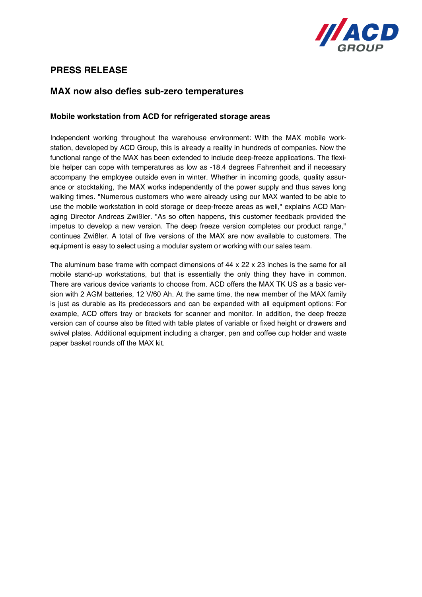

## **PRESS RELEASE**

## **MAX now also defies sub-zero temperatures**

## **Mobile workstation from ACD for refrigerated storage areas**

Independent working throughout the warehouse environment: With the MAX mobile workstation, developed by ACD Group, this is already a reality in hundreds of companies. Now the functional range of the MAX has been extended to include deep-freeze applications. The flexible helper can cope with temperatures as low as -18.4 degrees Fahrenheit and if necessary accompany the employee outside even in winter. Whether in incoming goods, quality assurance or stocktaking, the MAX works independently of the power supply and thus saves long walking times. "Numerous customers who were already using our MAX wanted to be able to use the mobile workstation in cold storage or deep-freeze areas as well," explains ACD Managing Director Andreas Zwißler. "As so often happens, this customer feedback provided the impetus to develop a new version. The deep freeze version completes our product range," continues Zwißler. A total of five versions of the MAX are now available to customers. The equipment is easy to select using a modular system or working with our sales team.

The aluminum base frame with compact dimensions of 44 x 22 x 23 inches is the same for all mobile stand-up workstations, but that is essentially the only thing they have in common. There are various device variants to choose from. ACD offers the MAX TK US as a basic version with 2 AGM batteries, 12 V/60 Ah. At the same time, the new member of the MAX family is just as durable as its predecessors and can be expanded with all equipment options: For example, ACD offers tray or brackets for scanner and monitor. In addition, the deep freeze version can of course also be fitted with table plates of variable or fixed height or drawers and swivel plates. Additional equipment including a charger, pen and coffee cup holder and waste paper basket rounds off the MAX kit.